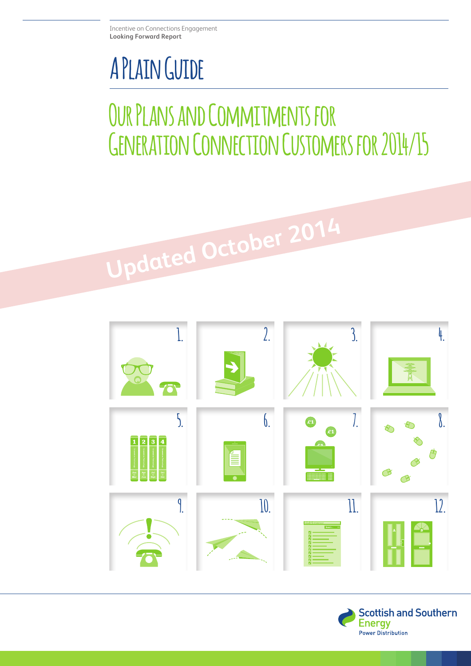## **A Plain Guide**

## **Our Plans and Commitments for Generation Connection Customers for 2014/15**

**Updated October 2014**

**1. 2. 3. 4. 5. 6. 7. 8.**  $\sqrt{2}$   $\sqrt{3}$   $\sqrt{4}$ **9. 10. 11. 12.**

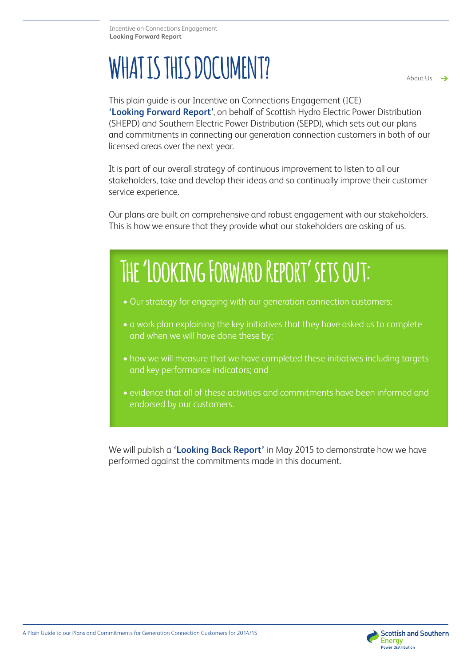# WHAT IS THIS DOCUMENT?

د

This plain guide is our Incentive on Connections Engagement (ICE) **'Looking Forward Report'**, on behalf of Scottish Hydro Electric Power Distribution (SHEPD) and Southern Electric Power Distribution (SEPD), which sets out our plans and commitments in connecting our generation connection customers in both of our licensed areas over the next year.

It is part of our overall strategy of continuous improvement to listen to all our stakeholders, take and develop their ideas and so continually improve their customer service experience.

Our plans are built on comprehensive and robust engagement with our stakeholders. This is how we ensure that they provide what our stakeholders are asking of us.

## **The 'Looking Forward Report' sets out:**

- Our strategy for engaging with our generation connection customers;
- a work plan explaining the key initiatives that they have asked us to complete and when we will have done these by;
- how we will measure that we have completed these initiatives including targets and key performance indicators; and
- evidence that all of these activities and commitments have been informed and endorsed by our customers.

We will publish a **'Looking Back Report'** in May 2015 to demonstrate how we have performed against the commitments made in this document.

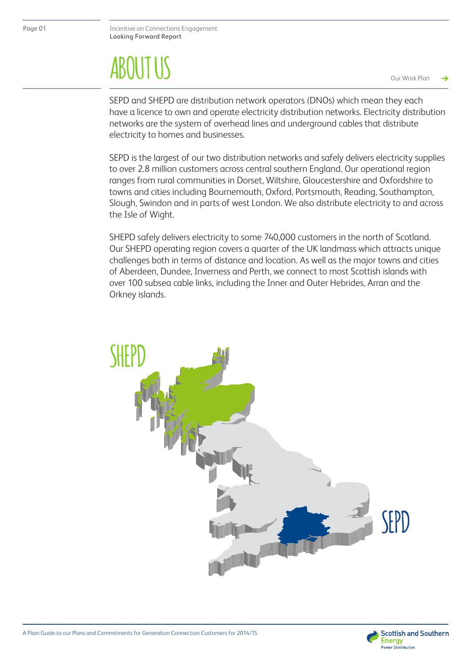## About Us **ABOUT US**

Our Work Plan

SEPD and SHEPD are distribution network operators (DNOs) which mean they each have a licence to own and operate electricity distribution networks. Electricity distribution networks are the system of overhead lines and underground cables that distribute electricity to homes and businesses.

SEPD is the largest of our two distribution networks and safely delivers electricity supplies to over 2.8 million customers across central southern England. Our operational region ranges from rural communities in Dorset, Wiltshire, Gloucestershire and Oxfordshire to towns and cities including Bournemouth, Oxford, Portsmouth, Reading, Southampton, Slough, Swindon and in parts of west London. We also distribute electricity to and across the Isle of Wight.

SHEPD safely delivers electricity to some 740,000 customers in the north of Scotland. Our SHEPD operating region covers a quarter of the UK landmass which attracts unique challenges both in terms of distance and location. As well as the major towns and cities of Aberdeen, Dundee, Inverness and Perth, we connect to most Scottish islands with over 100 subsea cable links, including the Inner and Outer Hebrides, Arran and the Orkney islands.





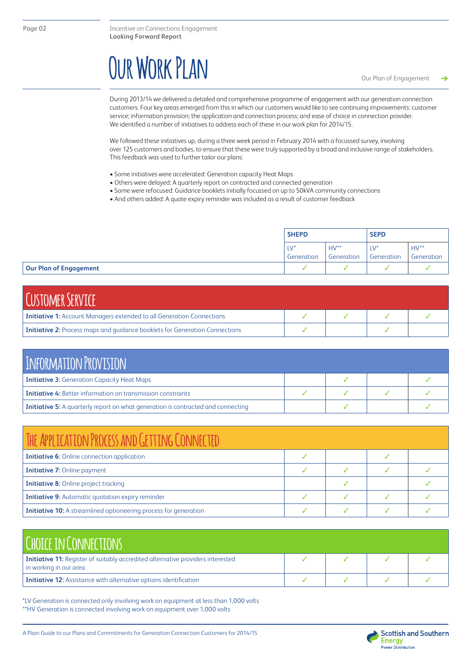## **Our Work Plan**

During 2013/14 we delivered a detailed and comprehensive programme of engagement with our generation connection customers. Four key areas emerged from this in which our customers would like to see continuing improvements: customer service; information provision; the application and connection process; and ease of choice in connection provider. We identified a number of initiatives to address each of these in our work plan for 2014/15.

We followed these initiatives up, during a three week period in February 2014 with a focussed survey, involving over 125 customers and bodies, to ensure that these were truly supported by a broad and inclusive range of stakeholders. This feedback was used to further tailor our plans:

- Some initiatives were accelerated: Generation capacity Heat Maps
- Others were delayed: A quarterly report on contracted and connected generation
- Some were refocused: Guidance booklets initially focussed on up to 50kVA community connections
- And others added: A quote expiry reminder was included as a result of customer feedback

|                               | <b>SHEPD</b>              |                      | <b>SEPD</b>          |                      |
|-------------------------------|---------------------------|----------------------|----------------------|----------------------|
|                               | $1\sqrt{2}$<br>Generation | $HV**$<br>Generation | $LV^*$<br>Generation | $HV**$<br>Generation |
| <b>Our Plan of Engagement</b> |                           |                      |                      |                      |

| <b>CUSTOMER SERVICE</b>                                                            |  |  |
|------------------------------------------------------------------------------------|--|--|
| <b>Initiative 1:</b> Account Managers extended to all Generation Connections       |  |  |
| <b>Initiative 2:</b> Process maps and quidance booklets for Generation Connections |  |  |

| INFORMATION PROVISION                                                                   |  |  |  |  |  |  |
|-----------------------------------------------------------------------------------------|--|--|--|--|--|--|
| <b>Initiative 3:</b> Generation Capacity Heat Maps                                      |  |  |  |  |  |  |
| <b>Initiative 4:</b> Better information on transmission constraints                     |  |  |  |  |  |  |
| <b>Initiative 5:</b> A quarterly report on what generation is contracted and connecting |  |  |  |  |  |  |

| THE APPLICATION PROCESS AND GETTING CONNECTED                           |  |  |  |  |  |  |
|-------------------------------------------------------------------------|--|--|--|--|--|--|
| <b>Initiative 6:</b> Online connection application                      |  |  |  |  |  |  |
| <b>Initiative 7: Online payment</b>                                     |  |  |  |  |  |  |
| <b>Initiative 8:</b> Online project tracking                            |  |  |  |  |  |  |
| <b>Initiative 9:</b> Automatic quotation expiry reminder                |  |  |  |  |  |  |
| <b>Initiative 10:</b> A streamlined optioneering process for generation |  |  |  |  |  |  |

| <b>CHOICE IN CONNECTIONS</b>                                                                                     |  |  |
|------------------------------------------------------------------------------------------------------------------|--|--|
| <b>Initiative 11:</b> Register of suitably accredited alternative providers interested<br>in working in our area |  |  |
| <b>Initiative 12:</b> Assistance with alternative options identification                                         |  |  |

\*LV Generation is connected only involving work on equipment at less than 1,000 volts \*\*HV Generation is connected involving work on equipment over 1,000 volts

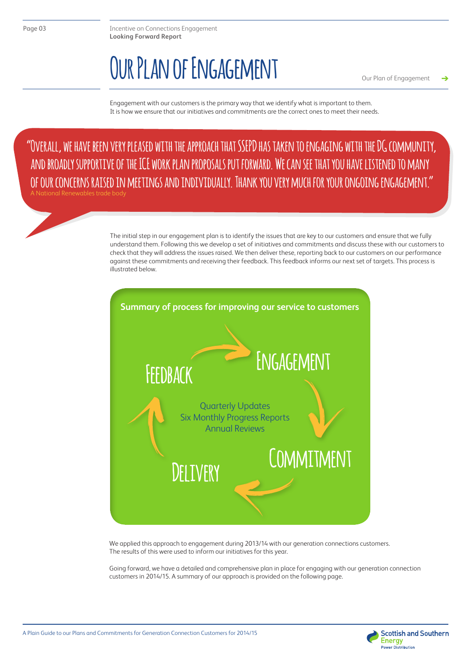### **Our Plan of Engagement**

Our Plan of Engagement د

Engagement with our customers is the primary way that we identify what is important to them. It is how we ensure that our initiatives and commitments are the correct ones to meet their needs.

**"Overall, we have been very pleased with the approach that SSEPD has taken to engaging with the DG community, and broadly supportive of the ICE work plan proposals put forward. We can see that you have listened to many of our concerns raised in meetings and individually. Thank you very much for your ongoing engagement."** 

ational Renewables trade body

The initial step in our engagement plan is to identify the issues that are key to our customers and ensure that we fully understand them. Following this we develop a set of initiatives and commitments and discuss these with our customers to check that they will address the issues raised. We then deliver these, reporting back to our customers on our performance against these commitments and receiving their feedback. This feedback informs our next set of targets. This process is illustrated below.



We applied this approach to engagement during 2013/14 with our generation connections customers. The results of this were used to inform our initiatives for this year.

Going forward, we have a detailed and comprehensive plan in place for engaging with our generation connection customers in 2014/15. A summary of our approach is provided on the following page.



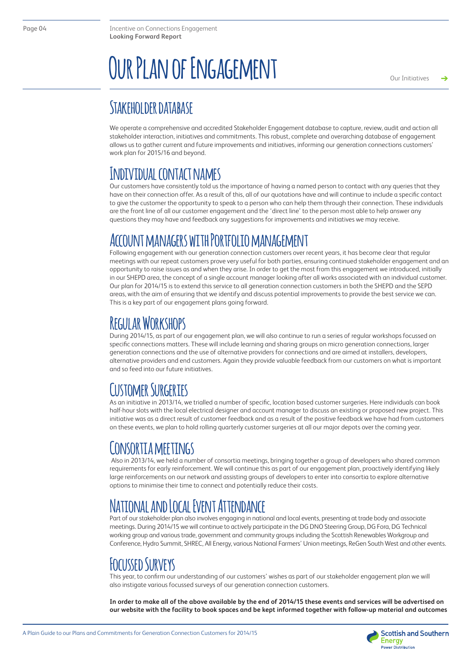## **Our Plan of Engagement**

Our Initiativesد

### **Stakeholder database**

We operate a comprehensive and accredited Stakeholder Engagement database to capture, review, audit and action all stakeholder interaction, initiatives and commitments. This robust, complete and overarching database of engagement allows us to gather current and future improvements and initiatives, informing our generation connections customers' work plan for 2015/16 and beyond.

### **Individual contact names**

Our customers have consistently told us the importance of having a named person to contact with any queries that they have on their connection offer. As a result of this, all of our quotations have and will continue to include a specific contact to give the customer the opportunity to speak to a person who can help them through their connection. These individuals are the front line of all our customer engagement and the 'direct line' to the person most able to help answer any questions they may have and feedback any suggestions for improvements and initiatives we may receive.

### **Account managers with Portfolio management**

Following engagement with our generation connection customers over recent years, it has become clear that regular meetings with our repeat customers prove very useful for both parties, ensuring continued stakeholder engagement and an opportunity to raise issues as and when they arise. In order to get the most from this engagement we introduced, initially in our SHEPD area, the concept of a single account manager looking after all works associated with an individual customer. Our plan for 2014/15 is to extend this service to all generation connection customers in both the SHEPD and the SEPD areas, with the aim of ensuring that we identify and discuss potential improvements to provide the best service we can. This is a key part of our engagement plans going forward.

### **Regular Workshops**

During 2014/15, as part of our engagement plan, we will also continue to run a series of regular workshops focussed on specific connections matters. These will include learning and sharing groups on micro generation connections, larger generation connections and the use of alternative providers for connections and are aimed at installers, developers, alternative providers and end customers. Again they provide valuable feedback from our customers on what is important and so feed into our future initiatives.

### **Customer Surgeries**

As an initiative in 2013/14, we trialled a number of specific, location based customer surgeries. Here individuals can book half-hour slots with the local electrical designer and account manager to discuss an existing or proposed new project. This initiative was as a direct result of customer feedback and as a result of the positive feedback we have had from customers on these events, we plan to hold rolling quarterly customer surgeries at all our major depots over the coming year.

### **Consortia meetings**

 Also in 2013/14, we held a number of consortia meetings, bringing together a group of developers who shared common requirements for early reinforcement. We will continue this as part of our engagement plan, proactively identifying likely large reinforcements on our network and assisting groups of developers to enter into consortia to explore alternative options to minimise their time to connect and potentially reduce their costs.

### **National and Local Event Attendance**

Part of our stakeholder plan also involves engaging in national and local events, presenting at trade body and associate meetings. During 2014/15 we will continue to actively participate in the DG DNO Steering Group, DG Fora, DG Technical working group and various trade, government and community groups including the Scottish Renewables Workgroup and Conference, Hydro Summit, SHREC, All Energy, various National Farmers' Union meetings, ReGen South West and other events.

### **Focussed Surveys**

This year, to confirm our understanding of our customers' wishes as part of our stakeholder engagement plan we will also instigate various focussed surveys of our generation connection customers.

**In order to make all of the above available by the end of 2014/15 these events and services will be advertised on our website with the facility to book spaces and be kept informed together with follow-up material and outcomes**

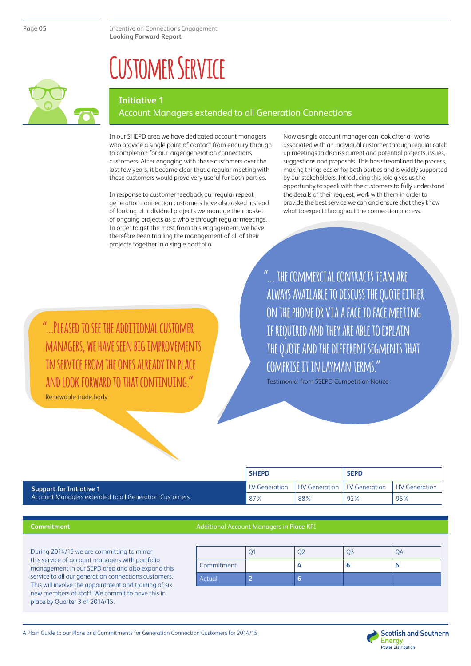### **Customer Service**



#### **Initiative 1**

#### Account Managers extended to all Generation Connections

In our SHEPD area we have dedicated account managers who provide a single point of contact from enquiry through to completion for our larger generation connections customers. After engaging with these customers over the last few years, it became clear that a regular meeting with these customers would prove very useful for both parties.

In response to customer feedback our regular repeat generation connection customers have also asked instead of looking at individual projects we manage their basket of ongoing projects as a whole through regular meetings. In order to get the most from this engagement, we have therefore been trialling the management of all of their projects together in a single portfolio.

Now a single account manager can look after all works associated with an individual customer through regular catch up meetings to discuss current and potential projects, issues, suggestions and proposals. This has streamlined the process, making things easier for both parties and is widely supported by our stakeholders. Introducing this role gives us the opportunity to speak with the customers to fully understand the details of their request, work with them in order to provide the best service we can and ensure that they know what to expect throughout the connection process.

**"...Pleased to see the additional customer managers, we have seen big improvements in service from the ones already in place and look forward to that continuing."**

Renewable trade body

**"... the commercial contracts team are always available to discuss the quote either on the phone or via a face to face meeting if required and they are able to explain the quote and the different segments that comprise it in layman terms."** 

Testimonial from SSEPD Competition Notice

|                                                       | <b>SHEPD</b>         |                               | <b>SEPD</b> |                      |
|-------------------------------------------------------|----------------------|-------------------------------|-------------|----------------------|
| <b>Support for Initiative 1</b>                       | <b>LV Generation</b> | HV Generation   LV Generation |             | <b>HV Generation</b> |
| Account Managers extended to all Generation Customers | 87%                  | 88%                           | 92%         | 95%                  |

#### **Commitment**

#### Additional Account Managers in Place KPI

During 2014/15 we are committing to mirror this service of account managers with portfolio management in our SEPD area and also expand this service to all our generation connections customers. This will involve the appointment and training of six new members of staff. We commit to have this in place by Quarter 3 of 2014/15.

| Commitment |  |  |
|------------|--|--|
| Actual     |  |  |

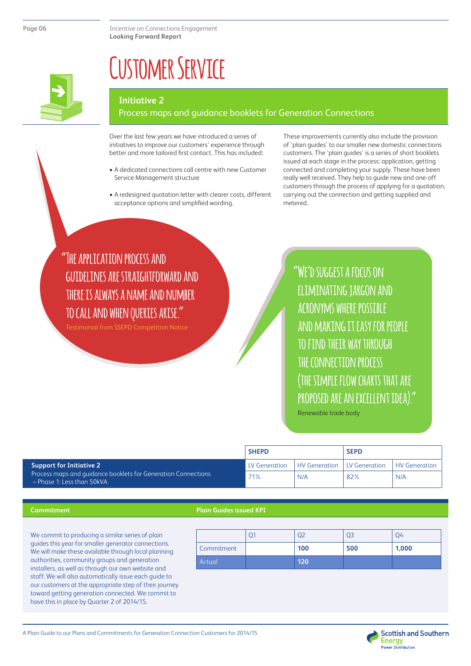

## **Customer Service**

#### **Initiative 2**

#### Process maps and guidance booklets for Generation Connections

Over the last few years we have introduced a series of initiatives to improve our customers' experience through better and more tailored first contact. This has included:

- A dedicated connections call centre with new Customer Service Management structure
- A redesigned quotation letter with clearer costs, different acceptance options and simplified wording.

These improvements currently also include the provision of 'plain guides' to our smaller new domestic connections customers. The 'plain guides' is a series of short booklets issued at each stage in the process: application, getting connected and completing your supply. These have been really well received. They help to guide new and one-off customers through the process of applying for a quotation, carrying out the connection and getting supplied and metered.

**"The application process and guidelines are straightforward and there is always a name and number to call and when queries arise."**

Testimonial from SSEPD Competition Notice

**"We'd suggest a focus on eliminating jargon and acronyms where possible and making it easy for people to find their way through the connection process (the simple flow charts that are proposed are an excellent idea)."**

Renewable trade body

|                                                                                               | <b>SHEPD</b>  |                      | <b>SEPD</b>   |                      |
|-----------------------------------------------------------------------------------------------|---------------|----------------------|---------------|----------------------|
| <b>Support for Initiative 2</b>                                                               | LV Generation | <b>HV Generation</b> | LV Generation | <b>HV</b> Generation |
| Process maps and quidance booklets for Generation Connections<br>$-$ Phase 1: Less than 50kVA | 71%           | N/A                  | 82%           | N/A                  |

#### **Commitment**

#### **Plain Guides issued KPI**

We commit to producing a similar series of plain guides this year for smaller generator connections. We will make these available through local planning authorities, community groups and generation installers, as well as through our own website and staff. We will also automatically issue each guide to our customers at the appropriate step of their journey toward getting generation connected. We commit to have this in place by Quarter 2 of 2014/15.

|            |     |     | J4.   |
|------------|-----|-----|-------|
| Commitment | 100 | 500 | 1,000 |
| Actual     | 120 |     |       |



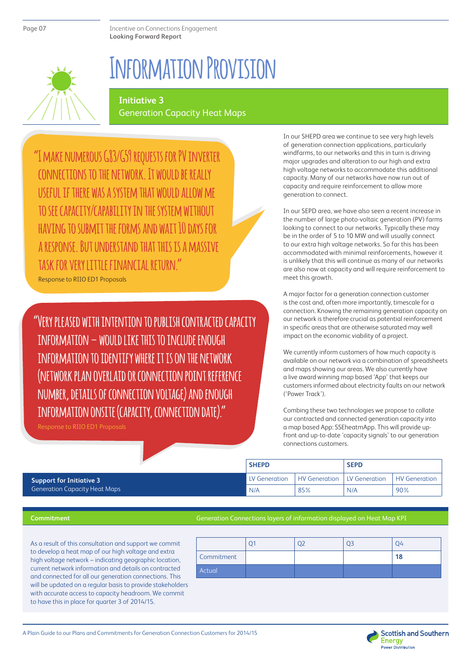## **Information Provision**

#### **Initiative 3** Generation Capacity Heat Maps

**"I make numerous G83/G59 requests for PV inverter connections to the network. It would be really useful if there was a system that would allow me to see capacity/capability in the system without having to submit the forms and wait 10 days for a response. But understand that this is a massive task for very little financial return."** Response to RIIO ED1 Proposals

**"Very pleased with intention to publish contracted capacity information – would like this to include enough information to identify where it is on the network (network plan overlaid or connection point reference number, details of connection voltage) and enough information onsite (capacity, connection date)."**

Response to RIIO ED1 Proposals

In our SHEPD area we continue to see very high levels of generation connection applications, particularly windfarms, to our networks and this in turn is driving major upgrades and alteration to our high and extra high voltage networks to accommodate this additional capacity. Many of our networks have now run out of capacity and require reinforcement to allow more generation to connect.

In our SEPD area, we have also seen a recent increase in the number of large photo-voltaic generation (PV) farms looking to connect to our networks. Typically these may be in the order of 5 to 10 MW and will usually connect to our extra high voltage networks. So far this has been accommodated with minimal reinforcements, however it is unlikely that this will continue as many of our networks are also now at capacity and will require reinforcement to meet this growth.

A major factor for a generation connection customer is the cost and, often more importantly, timescale for a connection. Knowing the remaining generation capacity on our network is therefore crucial as potential reinforcement in specific areas that are otherwise saturated may well impact on the economic viability of a project.

We currently inform customers of how much capacity is available on our network via a combination of spreadsheets and maps showing our areas. We also currently have a live award winning map based 'App' that keeps our customers informed about electricity faults on our network ('Power Track').

Combing these two technologies we propose to collate our contracted and connected generation capacity into a map based App: SSEheatmApp. This will provide upfront and up-to-date 'capacity signals' to our generation connections customers.

|                                      | <b>SHEPD</b>  |                                      | <b>SEPD</b> |               |
|--------------------------------------|---------------|--------------------------------------|-------------|---------------|
| <b>Support for Initiative 3</b>      | LV Generation | <b>HV Generation   LV Generation</b> |             | HV Generation |
| <b>Generation Capacity Heat Maps</b> | N/A           | 85%                                  | N/A         | 90%           |

#### **Commitment**

#### Generation Connections layers of information displayed on Heat Map KPI

As a result of this consultation and support we commit to develop a heat map of our high voltage and extra high voltage network – indicating geographic location, current network information and details on contracted and connected for all our generation connections. This will be updated on a regular basis to provide stakeholders with accurate access to capacity headroom. We commit to have this in place for quarter 3 of 2014/15.

| Commitment |  | 18 |
|------------|--|----|
| Actual     |  |    |

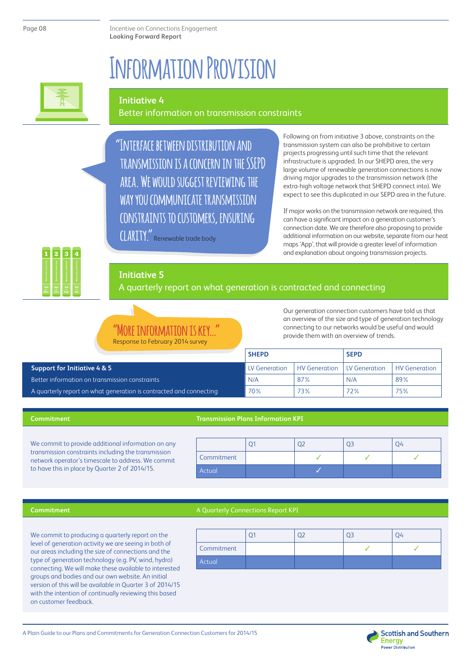Page 08

Incentive on Connections Engagement **Looking Forward Report**

### **Information Provision**



#### **Initiative 4**

#### Better information on transmission constraints

**"Interface between distribution and transmission is a concern in the SSEPD area. We would suggest reviewing the way you communicate transmission constraints to customers, ensuring**

**clarity."** Renewable trade body

Following on from initiative 3 above, constraints on the transmission system can also be prohibitive to certain projects progressing until such time that the relevant infrastructure is upgraded. In our SHEPD area, the very large volume of renewable generation connections is now driving major upgrades to the transmission network (the extra-high voltage network that SHEPD connect into). We expect to see this duplicated in our SEPD area in the future.

If major works on the transmission network are required, this can have a significant impact on a generation customer's connection date. We are therefore also proposing to provide additional information on our website, separate from our heat maps 'App', that will provide a greater level of information and explanation about ongoing transmission projects.

#### **Initiative 5**

A quarterly report on what generation is contracted and connecting

#### **TNFORMATION TS** Response to February 2014 surv

Our generation connection customers have told us that an overview of the size and type of generation technology connecting to our networks would be useful and would provide them with an overview of trends.

|                                                                    | <b>SHEPD</b>  |                                      | <b>SEPD</b> |               |
|--------------------------------------------------------------------|---------------|--------------------------------------|-------------|---------------|
| Support for Initiative 4 & 5                                       | LV Generation | <b>HV Generation   LV Generation</b> |             | HV Generation |
| Better information on transmission constraints                     | N/A           | 87%                                  | N/A         | 89%           |
| A quarterly report on what generation is contracted and connecting | 70%           | 73%                                  | 72%         | 75%           |

#### **Commitment**

#### **Transmission Plans Information KPI**

We commit to provide additional information on any transmission constraints including the transmission network operator's timescale to address. We commit to have this in place by Quarter 2 of 2014/15.

| Commitment |  |  |
|------------|--|--|
| Actual     |  |  |

#### **Commitment**

#### A Quarterly Connections Report KPI

We commit to producing a quarterly report on the level of generation activity we are seeing in both of our areas including the size of connections and the type of generation technology (e.g. PV, wind, hydro) connecting. We will make these available to interested groups and bodies and our own website. An initial version of this will be available in Quarter 3 of 2014/15 with the intention of continually reviewing this based on customer feedback.

| Commitment |  |  |
|------------|--|--|
| Actual     |  |  |



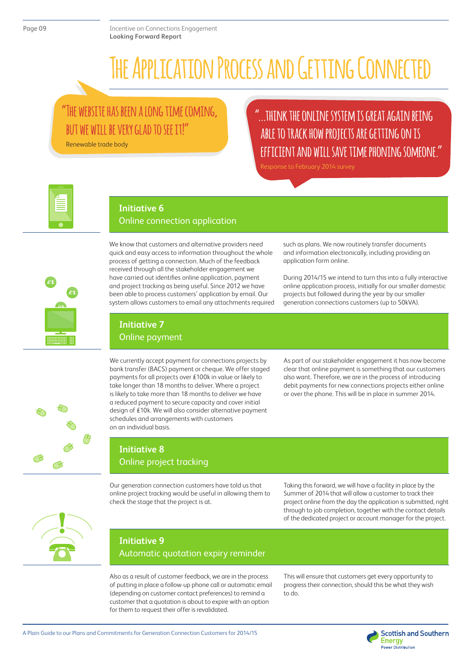## **The Application Process and Getting Connected**

### **"The website has been a long time coming, but we will be very glad to see it!"**

Renewable trade body

### **"...think the online system is great again being able to track how projects are getting on is efficient and will save time phoning someone."**



#### **Initiative 6**

#### Online connection application



We know that customers and alternative providers need quick and easy access to information throughout the whole process of getting a connection. Much of the feedback received through all the stakeholder engagement we have carried out identifies online application, payment and project tracking as being useful. Since 2012 we have been able to process customers' application by email. Our system allows customers to email any attachments required

such as plans. We now routinely transfer documents and information electronically, including providing an application form online.

During 2014/15 we intend to turn this into a fully interactive online application process, initially for our smaller domestic projects but followed during the year by our smaller generation connections customers (up to 50kVA).

### **Initiative 7**

Online payment

We currently accept payment for connections projects by bank transfer (BACS) payment or cheque. We offer staged payments for all projects over £100k in value or likely to take longer than 18 months to deliver. Where a project is likely to take more than 18 months to deliver we have a reduced payment to secure capacity and cover initial design of £10k. We will also consider alternative payment schedules and arrangements with customers on an individual basis.

As part of our stakeholder engagement it has now become clear that online payment is something that our customers also want. Therefore, we are in the process of introducing debit payments for new connections projects either online or over the phone. This will be in place in summer 2014.



### **Initiative 8** Online project tracking

Our generation connection customers have told us that online project tracking would be useful in allowing them to check the stage that the project is at.

Taking this forward, we will have a facility in place by the Summer of 2014 that will allow a customer to track their project online from the day the application is submitted, right through to job completion, together with the contact details of the dedicated project or account manager for the project.



#### **Initiative 9** Automatic quotation expiry reminder

Also as a result of customer feedback, we are in the process of putting in place a follow-up phone call or automatic email (depending on customer contact preferences) to remind a customer that a quotation is about to expire with an option for them to request their offer is revalidated.

This will ensure that customers get every opportunity to progress their connection, should this be what they wish to do.



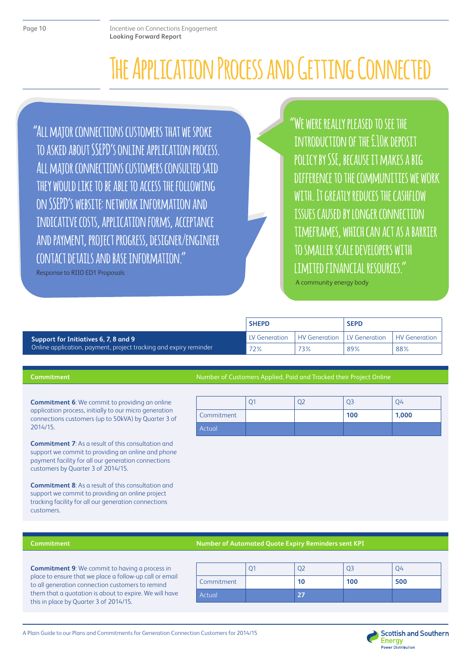## **The Application Process and Getting Connected**

**"All major connections customers that we spoke to asked about SSEPD's online application process. All major connections customers consulted said they would like to be able to access the following on SSEPD's website: network information and indicative costs, application forms, acceptance and payment, project progress, designer/engineer contact details and base information."**

Response to RIIO ED1 Proposals

**"We were really pleased to see the introduction of the £10k deposit policy by SSE, because it makes a big difference to the communities we work with. It greatly reduces the cashflow issues caused by longer connection timeframes, which can act as a barrier to smaller scale developers with limited financial resources."**

A community energy body

|                                                                   | <b>SHEPD</b>  |                      | <b>SEPD</b>   |                      |
|-------------------------------------------------------------------|---------------|----------------------|---------------|----------------------|
| Support for Initiatives 6, 7, 8 and 9                             | LV Generation | <b>HV Generation</b> | LV Generation | <b>HV</b> Generation |
| Online application, payment, project tracking and expiry reminder | 72%           | 73%                  | 89%           | 88%                  |

#### **Commitment**

**Commitment 6**: We commit to providing an online application process, initially to our micro generation connections customers (up to 50kVA) by Quarter 3 of 2014/15.

**Commitment 7**: As a result of this consultation and support we commit to providing an online and phone payment facility for all our generation connections customers by Quarter 3 of 2014/15.

**Commitment 8**: As a result of this consultation and support we commit to providing an online project tracking facility for all our generation connections customers.

#### Number of Customers Applied, Paid and Tracked their Project Online

|               |  | Q3  | 04    |
|---------------|--|-----|-------|
| Commitment    |  | 100 | 1,000 |
| <b>Actual</b> |  |     |       |

#### **Commitment**

#### **Number of Automated Quote Expiry Reminders sent KPI**

**Commitment 9**: We commit to having a process in place to ensure that we place a follow-up call or email to all generation connection customers to remind them that a quotation is about to expire. We will have this in place by Quarter 3 of 2014/15.

| Commitment | 10 | 100 | 500 |
|------------|----|-----|-----|
| Actual     |    |     |     |

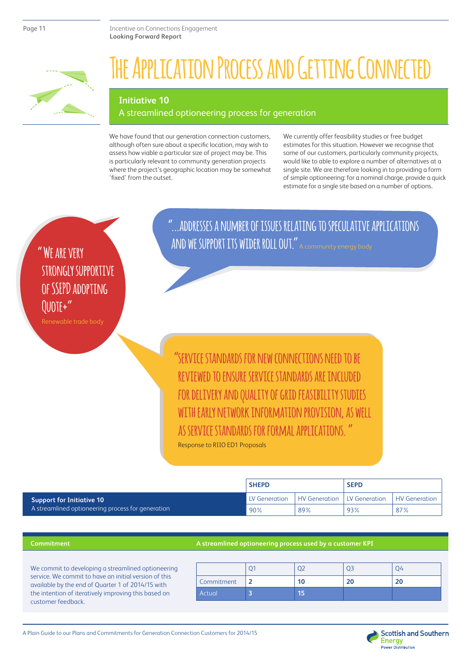

## **The Application Process and Getting Connected**

#### **Initiative 10**

#### A streamlined optioneering process for generation

We have found that our generation connection customers, although often sure about a specific location, may wish to assess how viable a particular size of project may be. This is particularly relevant to community generation projects where the project's geographic location may be somewhat 'fixed' from the outset.

We currently offer feasibility studies or free budget estimates for this situation. However we recognise that some of our customers, particularly community projects, would like to able to explore a number of alternatives at a single site. We are therefore looking in to providing a form of simple optioneering: for a nominal charge, provide a quick estimate for a single site based on a number of options.

**" We are very strongly supportive of SSEPD adopting Quote+"**

Renewable trade body

**"...addresses a number of issues relating to speculative applications and we support its wider roll out."** A community energy body

 **"service standards for new connections need to be reviewed to ensure service standards are included for delivery and quality of grid feasibility studies with early network information provision, as well as service standards for formal applications. "**  Response to RIIO ED1 Proposals

|                                                   | <b>SHEPD</b>  |                              | <b>SEPD</b> |                      |
|---------------------------------------------------|---------------|------------------------------|-------------|----------------------|
| <b>Support for Initiative 10</b>                  | LV Generation | HV Generation LLV Generation |             | <b>HV</b> Generation |
| A streamlined optioneering process for generation | 90%           | 89%                          | 93%         | 87%                  |

#### **Commitment**

#### **A streamlined optioneering process used by a customer KPI**

We commit to developing a streamlined optioneering service. We commit to have an initial version of this available by the end of Quarter 1 of 2014/15 with the intention of iteratively improving this based on customer feedback.

| Commitment |  |  |
|------------|--|--|
| Actual     |  |  |

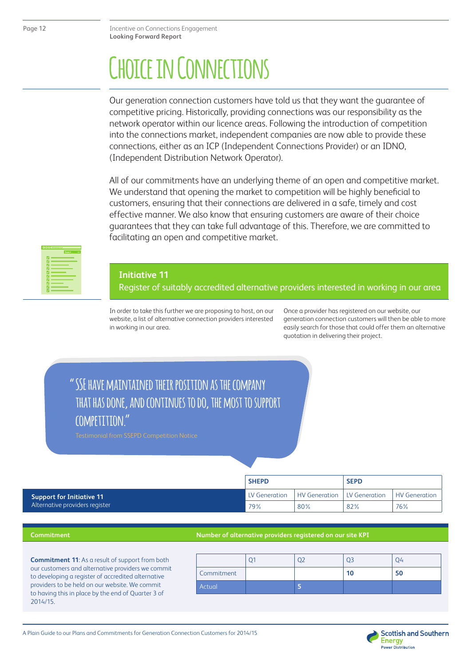## **Choice in Connections**

Our generation connection customers have told us that they want the guarantee of competitive pricing. Historically, providing connections was our responsibility as the network operator within our licence areas. Following the introduction of competition into the connections market, independent companies are now able to provide these connections, either as an ICP (Independent Connections Provider) or an IDNO, (Independent Distribution Network Operator).

All of our commitments have an underlying theme of an open and competitive market. We understand that opening the market to competition will be highly beneficial to customers, ensuring that their connections are delivered in a safe, timely and cost effective manner. We also know that ensuring customers are aware of their choice guarantees that they can take full advantage of this. Therefore, we are committed to facilitating an open and competitive market.



#### **Initiative 11**

Register of suitably accredited alternative providers interested in working in our area

In order to take this further we are proposing to host, on our website, a list of alternative connection providers interested in working in our area.

Once a provider has registered on our website, our generation connection customers will then be able to more easily search for those that could offer them an alternative quotation in delivering their project.

### **" SSE have maintained their position as the company that has done, and continues to do, the most to support competition."**

|                                  | <b>SHEPD</b>           |               | <b>SEPD</b>   |               |
|----------------------------------|------------------------|---------------|---------------|---------------|
| <b>Support for Initiative 11</b> | <b>I</b> LV Generation | HV Generation | LV Generation | HV Generation |
| Alternative providers register   | 79%                    | 80%           | 82%           | 76%           |

#### **Commitment**

#### **Number of alternative providers registered on our site KPI**

**Commitment 11**: As a result of support from both our customers and alternative providers we commit to developing a register of accredited alternative providers to be held on our website. We commit to having this in place by the end of Quarter 3 of 2014/15.

|            |  | $\mathcal{E}$ | ΙL |
|------------|--|---------------|----|
| Commitment |  | 10            | 50 |
| Actual     |  |               |    |

A Plain Guide to our Plans and Commitments for Generation Connection Customers for 2014/15

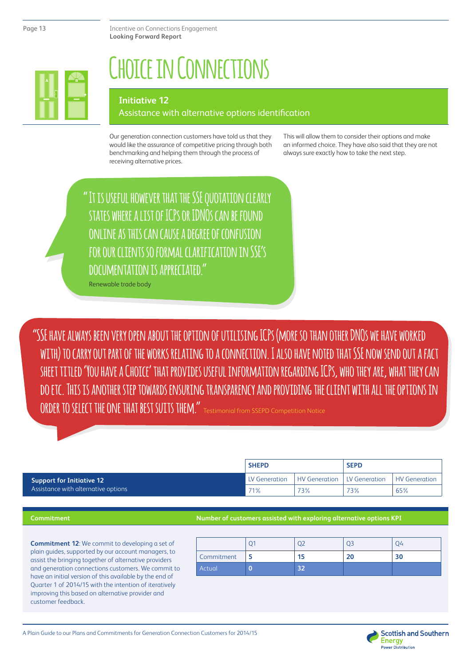

## **Choice in Connections**

#### **Initiative 12**

#### Assistance with alternative options identification

Our generation connection customers have told us that they would like the assurance of competitive pricing through both benchmarking and helping them through the process of receiving alternative prices.

This will allow them to consider their options and make an informed choice. They have also said that they are not always sure exactly how to take the next step.

**"It is useful however that the SSE quotation clearly states where a list of ICPs or IDNOs can be found online as this can cause a degree of confusion for our clients so formal clarification in SSE's documentation is appreciated."**

Renewable trade body

**"SSE have always been very open about the option of utilising ICPs (more so than other DNOs we have worked with) to carry out part of the works relating to a connection. I also have noted that SSE now send out a fact sheet titled 'You have a Choice' that provides useful information regarding ICPs, who they are, what they can do etc. This is another step towards ensuring transparency and providing the client with all the options in ORDER TO SELECT THE ONE THAT BEST SUITS THEM."** Testimonial from SSEPD Competition Notice

**SHEPD SEPD Support for Initiative 12** Assistance with alternative options LV Generation | HV Generation | LV Generation | HV Generation 71% 73% 73% 65%

#### **Commitment**

#### **Number of customers assisted with exploring alternative options KPI**

**Commitment 12**: We commit to developing a set of plain guides, supported by our account managers, to assist the bringing together of alternative providers and generation connections customers. We commit to have an initial version of this available by the end of Quarter 1 of 2014/15 with the intention of iteratively improving this based on alternative provider and customer feedback.

| Commitment | 15 |  |
|------------|----|--|
| Actual     |    |  |